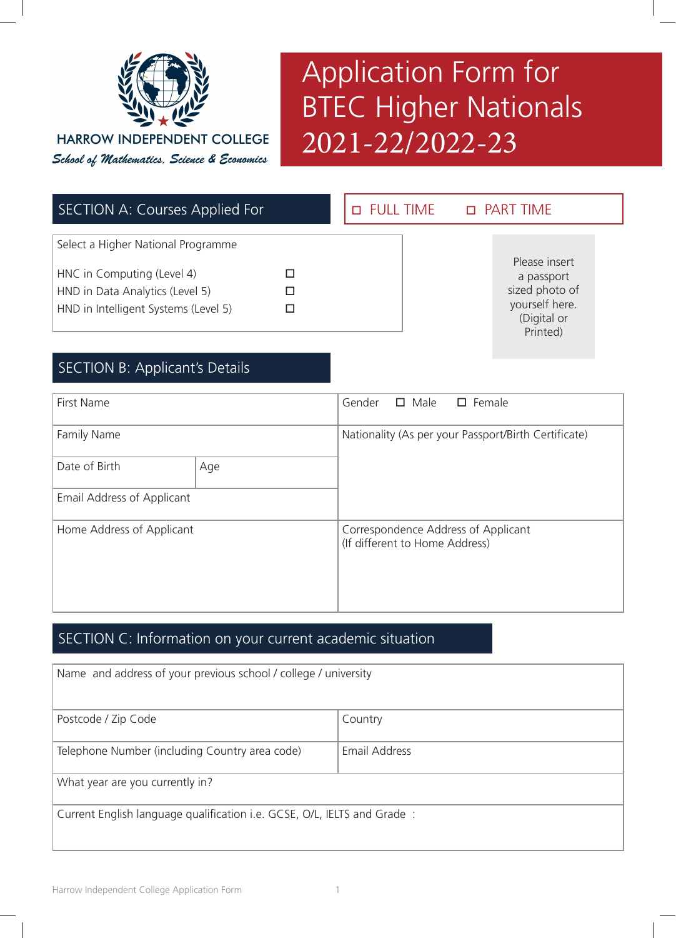

# Application Form for BTEC Higher Nationals 2021-22/2022-23

| <b>SECTION A: Courses Applied For</b>                                                                                                       | <b>D</b> FULL TIME | <b>D</b> PART TIME                                                                         |
|---------------------------------------------------------------------------------------------------------------------------------------------|--------------------|--------------------------------------------------------------------------------------------|
| Select a Higher National Programme<br>HNC in Computing (Level 4)<br>HND in Data Analytics (Level 5)<br>HND in Intelligent Systems (Level 5) |                    | Please insert<br>a passport<br>sized photo of<br>yourself here.<br>(Digital or<br>Printed) |

# SECTION B: Applicant's Details

| <b>First Name</b>          |     | Gender                                               |                                | $\Box$ Male $\Box$ Female           |
|----------------------------|-----|------------------------------------------------------|--------------------------------|-------------------------------------|
| Family Name                |     | Nationality (As per your Passport/Birth Certificate) |                                |                                     |
| Date of Birth              | Age |                                                      |                                |                                     |
| Email Address of Applicant |     |                                                      |                                |                                     |
| Home Address of Applicant  |     |                                                      | (If different to Home Address) | Correspondence Address of Applicant |

## SECTION C: Information on your current academic situation

| Name and address of your previous school / college / university         |               |  |
|-------------------------------------------------------------------------|---------------|--|
| Postcode / Zip Code                                                     | Country       |  |
| Telephone Number (including Country area code)                          | Email Address |  |
| What year are you currently in?                                         |               |  |
| Current English language qualification i.e. GCSE, O/L, IELTS and Grade: |               |  |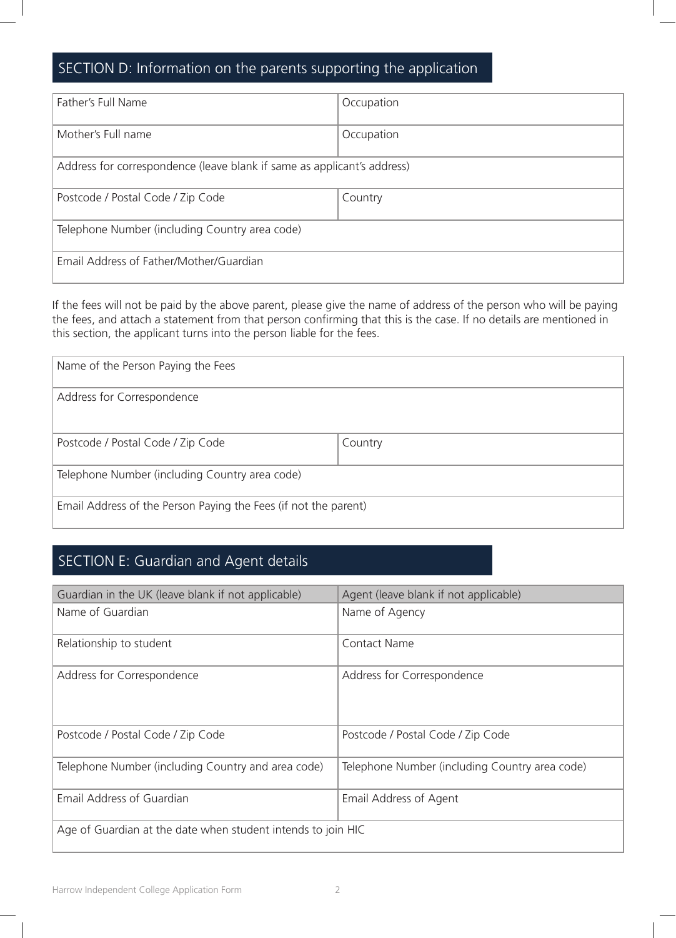# SECTION D: Information on the parents supporting the application

| Father's Full Name                                                      | Occupation |  |
|-------------------------------------------------------------------------|------------|--|
| Mother's Full name                                                      | Occupation |  |
| Address for correspondence (leave blank if same as applicant's address) |            |  |
| Postcode / Postal Code / Zip Code                                       | Country    |  |
| Telephone Number (including Country area code)                          |            |  |
| Email Address of Father/Mother/Guardian                                 |            |  |

If the fees will not be paid by the above parent, please give the name of address of the person who will be paying the fees, and attach a statement from that person confirming that this is the case. If no details are mentioned in this section, the applicant turns into the person liable for the fees.

| Name of the Person Paying the Fees                              |         |  |
|-----------------------------------------------------------------|---------|--|
| Address for Correspondence                                      |         |  |
|                                                                 |         |  |
| Postcode / Postal Code / Zip Code                               | Country |  |
| Telephone Number (including Country area code)                  |         |  |
| Email Address of the Person Paying the Fees (if not the parent) |         |  |

# SECTION E: Guardian and Agent details

| Guardian in the UK (leave blank if not applicable)           | Agent (leave blank if not applicable)          |  |
|--------------------------------------------------------------|------------------------------------------------|--|
| Name of Guardian                                             | Name of Agency                                 |  |
| Relationship to student                                      | <b>Contact Name</b>                            |  |
| Address for Correspondence                                   | Address for Correspondence                     |  |
| Postcode / Postal Code / Zip Code                            | Postcode / Postal Code / Zip Code              |  |
| Telephone Number (including Country and area code)           | Telephone Number (including Country area code) |  |
| Email Address of Guardian                                    | Email Address of Agent                         |  |
| Age of Guardian at the date when student intends to join HIC |                                                |  |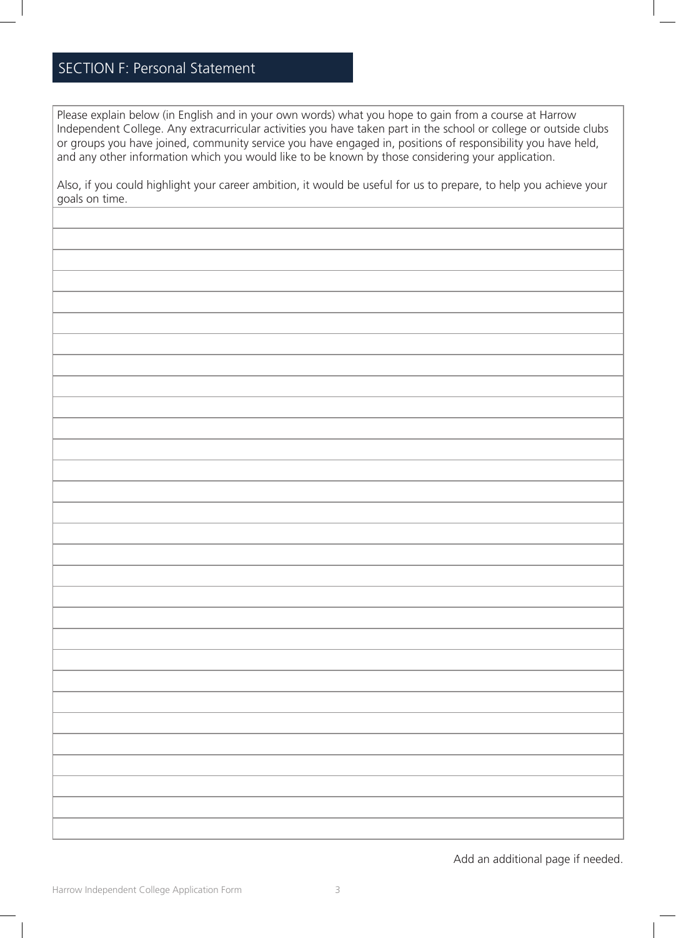# SECTION F: Personal Statement

Please explain below (in English and in your own words) what you hope to gain from a course at Harrow Independent College. Any extracurricular activities you have taken part in the school or college or outside clubs or groups you have joined, community service you have engaged in, positions of responsibility you have held, and any other information which you would like to be known by those considering your application.

Also, if you could highlight your career ambition, it would be useful for us to prepare, to help you achieve your goals on time.

Add an additional page if needed.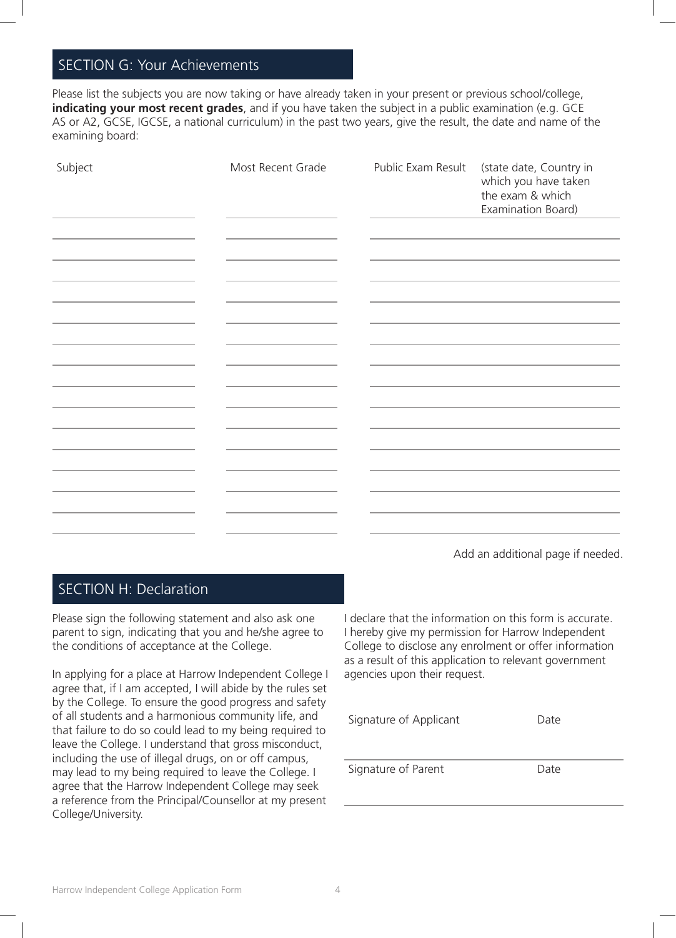### SECTION G: Your Achievements

Please list the subjects you are now taking or have already taken in your present or previous school/college, **indicating your most recent grades**, and if you have taken the subject in a public examination (e.g. GCE AS or A2, GCSE, IGCSE, a national curriculum) in the past two years, give the result, the date and name of the examining board:

| Subject | Most Recent Grade | Public Exam Result | (state date, Country in<br>which you have taken<br>the exam & which<br>Examination Board) |
|---------|-------------------|--------------------|-------------------------------------------------------------------------------------------|
|         |                   |                    |                                                                                           |
|         |                   |                    |                                                                                           |
|         |                   |                    |                                                                                           |
|         |                   |                    |                                                                                           |
|         |                   |                    |                                                                                           |
|         |                   |                    |                                                                                           |
|         |                   |                    |                                                                                           |
|         |                   |                    |                                                                                           |
|         |                   |                    |                                                                                           |
|         |                   |                    |                                                                                           |
|         |                   |                    |                                                                                           |
|         |                   |                    |                                                                                           |

Add an additional page if needed.

### SECTION H: Declaration

Please sign the following statement and also ask one parent to sign, indicating that you and he/she agree to the conditions of acceptance at the College.

In applying for a place at Harrow Independent College I agree that, if I am accepted, I will abide by the rules set by the College. To ensure the good progress and safety of all students and a harmonious community life, and that failure to do so could lead to my being required to leave the College. I understand that gross misconduct, including the use of illegal drugs, on or off campus, may lead to my being required to leave the College. I agree that the Harrow Independent College may seek a reference from the Principal/Counsellor at my present College/University.

I declare that the information on this form is accurate. I hereby give my permission for Harrow Independent College to disclose any enrolment or offer information as a result of this application to relevant government agencies upon their request.

| Signature of Applicant | Date |
|------------------------|------|
| Signature of Parent    | Date |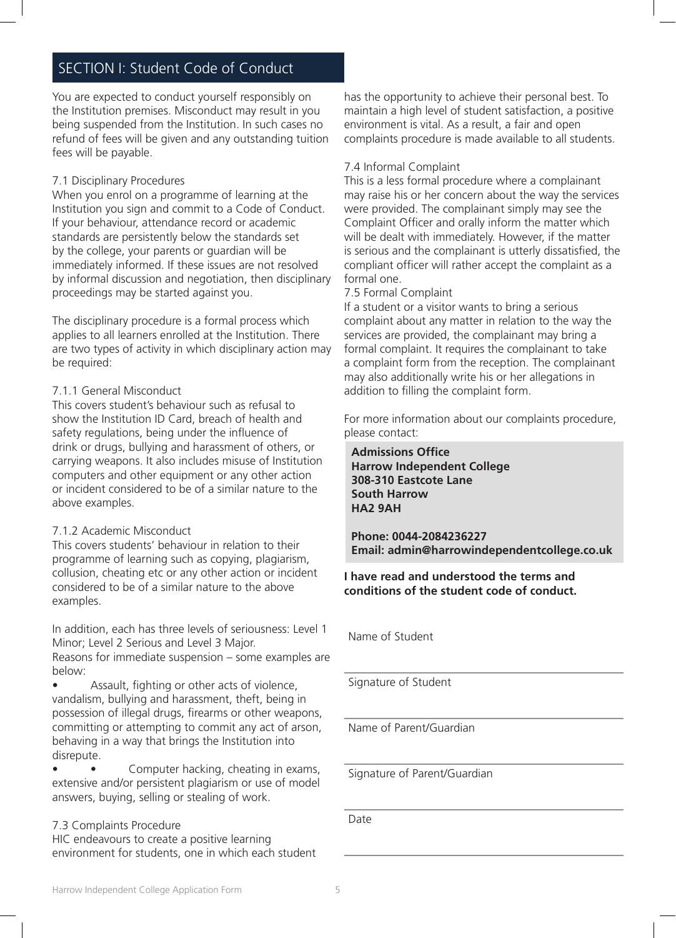### SECTION I: Student Code of Conduct

You are expected to conduct yourself responsibly on the Institution premises. Misconduct may result in you being suspended from the Institution. In such cases no refund of fees will be given and any outstanding tuition fees will be payable.

#### 7.1 Disciplinary Procedures

When you enrol on a programme of learning at the Institution you sign and commit to a Code of Conduct. If your behaviour, attendance record or academic standards are persistently below the standards set by the college, your parents or guardian will be immediately informed. If these issues are not resolved by informal discussion and negotiation, then disciplinary proceedings may be started against you.

The disciplinary procedure is a formal process which applies to all learners enrolled at the Institution. There are two types of activity in which disciplinary action may be required:

#### 7.1.1 General Misconduct

This covers student's behaviour such as refusal to show the Institution ID Card, breach of health and safety regulations, being under the influence of drink or drugs, bullying and harassment of others, or carrying weapons. It also includes misuse of Institution computers and other equipment or any other action or incident considered to be of a similar nature to the above examples.

#### 7.1.2 Academic Misconduct

This covers students' behaviour in relation to their programme of learning such as copying, plagiarism, collusion, cheating etc or any other action or incident considered to be of a similar nature to the above examples.

In addition, each has three levels of seriousness: Level 1 Minor; Level 2 Serious and Level 3 Major. Reasons for immediate suspension – some examples are

below: • Assault, fighting or other acts of violence,

vandalism, bullying and harassment, theft, being in possession of illegal drugs, firearms or other weapons, committing or attempting to commit any act of arson, behaving in a way that brings the Institution into disrepute.

Computer hacking, cheating in exams, extensive and/or persistent plagiarism or use of model answers, buying, selling or stealing of work.

#### 7.3 Complaints Procedure

HIC endeavours to create a positive learning environment for students, one in which each student

has the opportunity to achieve their personal best. To maintain a high level of student satisfaction, a positive environment is vital. As a result, a fair and open complaints procedure is made available to all students.

#### 7.4 Informal Complaint

This is a less formal procedure where a complainant may raise his or her concern about the way the services were provided. The complainant simply may see the Complaint Officer and orally inform the matter which will be dealt with immediately. However, if the matter is serious and the complainant is utterly dissatisfied, the compliant officer will rather accept the complaint as a formal one.

#### 7.5 Formal Complaint

If a student or a visitor wants to bring a serious complaint about any matter in relation to the way the services are provided, the complainant may bring a formal complaint. It requires the complainant to take a complaint form from the reception. The complainant may also additionally write his or her allegations in addition to filling the complaint form.

For more information about our complaints procedure, please contact:

**Admissions Office Harrow Independent College 308-310 Eastcote Lane South Harrow HA2 9AH**

**Phone: 0044-2084236227 Email: admin@harrowindependentcollege.co.uk** 

**I have read and understood the terms and conditions of the student code of conduct.** 

Name of Student

Signature of Student

Name of Parent/Guardian

Signature of Parent/Guardian

Date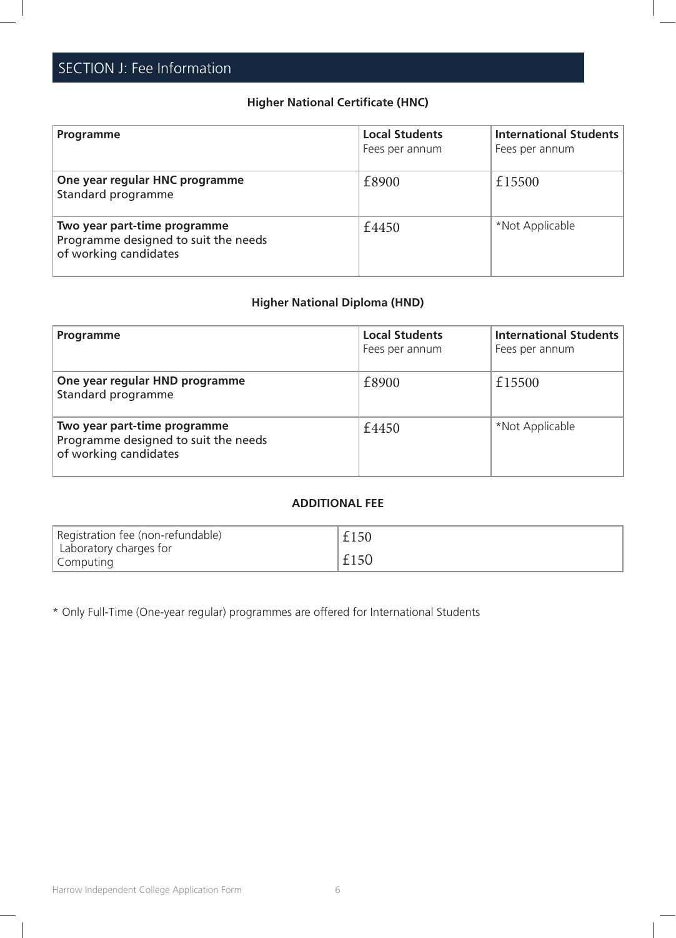### **Higher National Certificate (HNC)**

| Programme                                                                                     | <b>Local Students</b><br>Fees per annum | International Students<br>Fees per annum |
|-----------------------------------------------------------------------------------------------|-----------------------------------------|------------------------------------------|
| One year regular HNC programme<br>Standard programme                                          | £8900                                   | £15500                                   |
| Two year part-time programme<br>Programme designed to suit the needs<br>of working candidates | £4450                                   | *Not Applicable                          |

### **Higher National Diploma (HND)**

| Programme                                                                                     | <b>Local Students</b><br>Fees per annum | <b>International Students</b><br>Fees per annum |
|-----------------------------------------------------------------------------------------------|-----------------------------------------|-------------------------------------------------|
| One year regular HND programme<br>Standard programme                                          | £8900                                   | £15500                                          |
| Two year part-time programme<br>Programme designed to suit the needs<br>of working candidates | £4450                                   | *Not Applicable                                 |

#### **ADDITIONAL FEE**

| Registration fee (non-refundable)                | £150 |
|--------------------------------------------------|------|
| Laboratory charges for<br><sup>l</sup> Computing | £150 |

\* Only Full-Time (One-year regular) programmes are offered for International Students